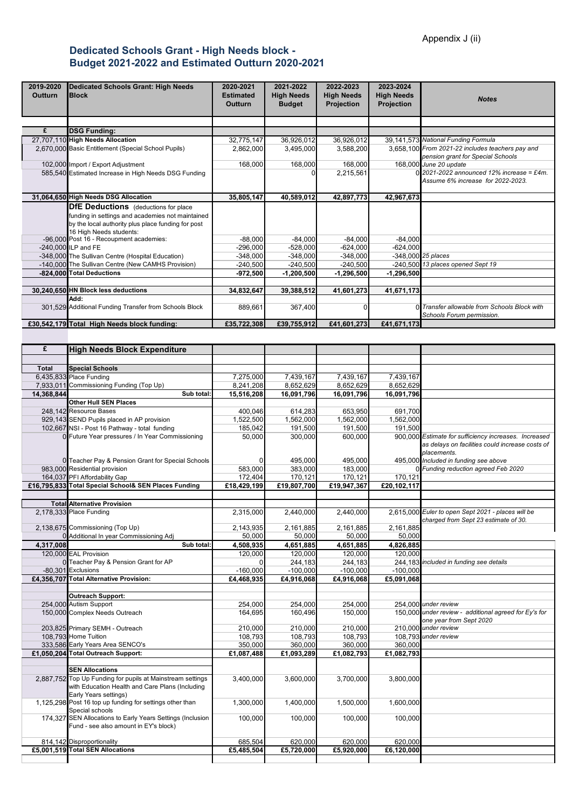## **Dedicated Schools Grant - High Needs block - Budget 2021-2022 and Estimated Outturn 2020-2021**

| 2019-2020<br>Outturn    | <b>Dedicated Schools Grant: High Needs</b><br><b>Block</b>                                                                        | 2020-2021<br><b>Estimated</b><br>Outturn | 2021-2022<br><b>High Needs</b><br><b>Budget</b> | 2022-2023<br><b>High Needs</b><br>Projection | 2023-2024<br><b>High Needs</b><br>Projection | <b>Notes</b>                                                                                                            |
|-------------------------|-----------------------------------------------------------------------------------------------------------------------------------|------------------------------------------|-------------------------------------------------|----------------------------------------------|----------------------------------------------|-------------------------------------------------------------------------------------------------------------------------|
|                         |                                                                                                                                   |                                          |                                                 |                                              |                                              |                                                                                                                         |
| £                       | <b>DSG Funding:</b>                                                                                                               |                                          |                                                 |                                              |                                              |                                                                                                                         |
|                         | 27,707,110 High Needs Allocation<br>2,670,000 Basic Entitlement (Special School Pupils)                                           | 32,775,147<br>2,862,000                  | 36,926,012<br>3,495,000                         | 36,926,012<br>3,588,200                      |                                              | 39,141,573 National Funding Formula<br>3,658,100 From 2021-22 includes teachers pay and                                 |
|                         |                                                                                                                                   |                                          |                                                 |                                              |                                              | pension grant for Special Schools                                                                                       |
|                         | 102,000 Import / Export Adjustment                                                                                                | 168,000                                  | 168,000                                         | 168,000                                      |                                              | 168,000 June 20 update                                                                                                  |
|                         | 585,540 Estimated Increase in High Needs DSG Funding                                                                              |                                          |                                                 | 2,215,561                                    |                                              | $0$ 2021-2022 announced 12% increase = £4m.                                                                             |
|                         |                                                                                                                                   |                                          |                                                 |                                              |                                              | Assume 6% increase for 2022-2023.                                                                                       |
|                         | 31,064,650 High Needs DSG Allocation                                                                                              | 35,805,147                               | 40,589,012                                      | 42,897,773                                   | 42,967,673                                   |                                                                                                                         |
|                         | <b>DfE Deductions</b> (deductions for place                                                                                       |                                          |                                                 |                                              |                                              |                                                                                                                         |
|                         | funding in settings and academies not maintained<br>by the local authority plus place funding for post<br>16 High Needs students: |                                          |                                                 |                                              |                                              |                                                                                                                         |
|                         | -96,000 Post 16 - Recoupment academies:                                                                                           | $-88,000$                                | $-84,000$                                       | $-84,000$                                    | $-84,000$                                    |                                                                                                                         |
|                         | -240,000 ILP and FE                                                                                                               | $-296,000$                               | $-528,000$                                      | $-624,000$                                   | $-624,000$                                   |                                                                                                                         |
|                         | -348,000 The Sullivan Centre (Hospital Education)                                                                                 | $-348,000$                               | $-348,000$                                      | $-348,000$                                   |                                              | -348,000 25 places                                                                                                      |
|                         | -140,000 The Sullivan Centre (New CAMHS Provision)<br>-824,000 Total Deductions                                                   | $-240,500$                               | $-240,500$                                      | $-240,500$                                   | $-1,296,500$                                 | -240,500 13 places opened Sept 19                                                                                       |
|                         |                                                                                                                                   | $-972,500$                               | $-1,200,500$                                    | $-1,296,500$                                 |                                              |                                                                                                                         |
|                         | 30,240,650 HN Block less deductions                                                                                               | 34,832,647                               | 39,388,512                                      | 41,601,273                                   | 41,671,173                                   |                                                                                                                         |
|                         | Add:                                                                                                                              |                                          |                                                 |                                              |                                              |                                                                                                                         |
|                         | 301,529 Additional Funding Transfer from Schools Block                                                                            | 889,661                                  | 367,400                                         | $\Omega$                                     |                                              | 0 Transfer allowable from Schools Block with<br>Schools Forum permission.                                               |
|                         | £30,542,179 Total High Needs block funding:                                                                                       | £35,722,308                              | £39,755,912                                     | £41,601,273                                  | £41,671,173                                  |                                                                                                                         |
|                         |                                                                                                                                   |                                          |                                                 |                                              |                                              |                                                                                                                         |
| £                       | <b>High Needs Block Expenditure</b>                                                                                               |                                          |                                                 |                                              |                                              |                                                                                                                         |
|                         |                                                                                                                                   |                                          |                                                 |                                              |                                              |                                                                                                                         |
| <b>Total</b>            | <b>Special Schools</b>                                                                                                            |                                          |                                                 |                                              |                                              |                                                                                                                         |
|                         | 6,435,833 Place Funding                                                                                                           | 7,275,000                                | 7,439,167                                       | 7,439,167<br>8,652,629                       | 7,439,167                                    |                                                                                                                         |
| 7,933,011<br>14,368,844 | Commissioning Funding (Top Up)<br>Sub total:                                                                                      | 8,241,208<br>15,516,208                  | 8,652,629<br>16,091,796                         | 16,091,796                                   | 8,652,629<br>16,091,796                      |                                                                                                                         |
|                         | <b>Other Hull SEN Places</b>                                                                                                      |                                          |                                                 |                                              |                                              |                                                                                                                         |
|                         | 248,142 Resource Bases                                                                                                            | 400,046                                  | 614,283                                         | 653,950                                      | 691,700                                      |                                                                                                                         |
|                         | 929,143 SEND Pupils placed in AP provision                                                                                        | 1,522,500                                | 1,562,000                                       | 1,562,000                                    | 1,562,000                                    |                                                                                                                         |
|                         | 102,667 NSI - Post 16 Pathway - total funding                                                                                     | 185,042                                  | 191,500                                         | 191,500                                      | 191,500                                      |                                                                                                                         |
|                         | 0 Future Year pressures / In Year Commissioning                                                                                   | 50,000                                   | 300,000                                         | 600,000                                      |                                              | 900,000 Estimate for sufficiency increases. Increased<br>as delays on facilities could increase costs of<br>placements. |
|                         | 0 Teacher Pay & Pension Grant for Special Schools                                                                                 |                                          | 495.000                                         | 495,000                                      |                                              | 495,000 Included in funding see above                                                                                   |
|                         | 983,000 Residential provision<br>164,037 PFI Affordability Gap                                                                    | 583,000                                  | 383,000                                         | 183,000<br>170,121                           |                                              | 0 Funding reduction agreed Feb 2020                                                                                     |
|                         | £16,795,833 Total Special School& SEN Places Funding                                                                              | 172,404<br>£18,429,199                   | 170,121<br>£19,807,700                          | £19,947,367                                  | 170,121<br>£20,102,117                       |                                                                                                                         |
|                         |                                                                                                                                   |                                          |                                                 |                                              |                                              |                                                                                                                         |
|                         | <b>Total Alternative Provision</b>                                                                                                |                                          |                                                 |                                              |                                              |                                                                                                                         |
|                         | 2,178,333 Place Funding                                                                                                           | 2,315,000                                | 2.440.000                                       | 2.440.000                                    |                                              | 2,615,000 Euler to open Sept 2021 - places will be<br>charged from Sept 23 estimate of 30.                              |
|                         | 2,138,675 Commissioning (Top Up)                                                                                                  | 2,143,935                                | 2,161,885                                       | 2,161,885                                    | 2,161,885                                    |                                                                                                                         |
| 4.317.008               | 0 Additional In year Commissioning Adj<br>Sub total:                                                                              | 50,000                                   | 50,000                                          | 50,000                                       | 50,000                                       |                                                                                                                         |
|                         | 120,000 EAL Provision                                                                                                             | 4,508,935<br>120,000                     | 4,651,885<br>120,000                            | 4,651,885<br>120,000                         | 4,826,885<br>120,000                         |                                                                                                                         |
|                         | 0 Teacher Pay & Pension Grant for AP                                                                                              |                                          | 244,183                                         | 244,183                                      |                                              | 244.183 included in funding see details                                                                                 |
|                         | -80,301 Exclusions                                                                                                                | $-160,000$                               | $-100,000$                                      | $-100,000$                                   | $-100,000$                                   |                                                                                                                         |
|                         | £4,356,707 Total Alternative Provision:                                                                                           | £4,468,935                               | £4,916,068                                      | £4,916,068                                   | £5,091,068                                   |                                                                                                                         |
|                         | <b>Outreach Support:</b>                                                                                                          |                                          |                                                 |                                              |                                              |                                                                                                                         |
|                         | 254,000 Autism Support                                                                                                            | 254,000                                  | 254,000                                         | 254,000                                      |                                              | 254,000 under review                                                                                                    |
|                         | 150,000 Complex Needs Outreach                                                                                                    | 164,695                                  | 160,496                                         | 150,000                                      |                                              | 150,000 under review - additional agreed for Ey's for                                                                   |
|                         | 203,825 Primary SEMH - Outreach                                                                                                   | 210,000                                  | 210,000                                         | 210,000                                      |                                              | one year from Sept 2020<br>210,000 under review                                                                         |
|                         | 108,793 Home Tuition                                                                                                              | 108,793                                  | 108,793                                         | 108,793                                      |                                              | 108,793 under review                                                                                                    |
|                         | 333,586 Early Years Area SENCO's                                                                                                  | 350,000                                  | 360,000                                         | 360,000                                      | 360,000                                      |                                                                                                                         |
|                         | £1,050,204 Total Outreach Support:                                                                                                | £1,087,488                               | £1,093,289                                      | £1,082,793                                   | £1,082,793                                   |                                                                                                                         |
|                         | <b>SEN Allocations</b>                                                                                                            |                                          |                                                 |                                              |                                              |                                                                                                                         |
|                         | 2,887,752 Top Up Funding for pupils at Mainstream settings                                                                        | 3,400,000                                | 3,600,000                                       | 3,700,000                                    | 3,800,000                                    |                                                                                                                         |
|                         | with Education Health and Care Plans (Including<br>Early Years settings)                                                          |                                          |                                                 |                                              |                                              |                                                                                                                         |
|                         | 1,125,298 Post 16 top up funding for settings other than<br>Special schools                                                       | 1,300,000                                | 1,400,000                                       | 1,500,000                                    | 1,600,000                                    |                                                                                                                         |
|                         | 174,327 SEN Allocations to Early Years Settings (Inclusion                                                                        | 100,000                                  | 100,000                                         | 100,000                                      | 100,000                                      |                                                                                                                         |
|                         | Fund - see also amount in EY's block)                                                                                             |                                          |                                                 |                                              |                                              |                                                                                                                         |
|                         | 814,142 Disproportionality                                                                                                        | 685,504                                  | 620,000                                         | 620,000                                      | 620,000                                      |                                                                                                                         |
|                         | £5,001,519 Total SEN Allocations                                                                                                  | £5,485,504                               | £5,720,000                                      | £5,920,000                                   | £6,120,000                                   |                                                                                                                         |
|                         |                                                                                                                                   |                                          |                                                 |                                              |                                              |                                                                                                                         |